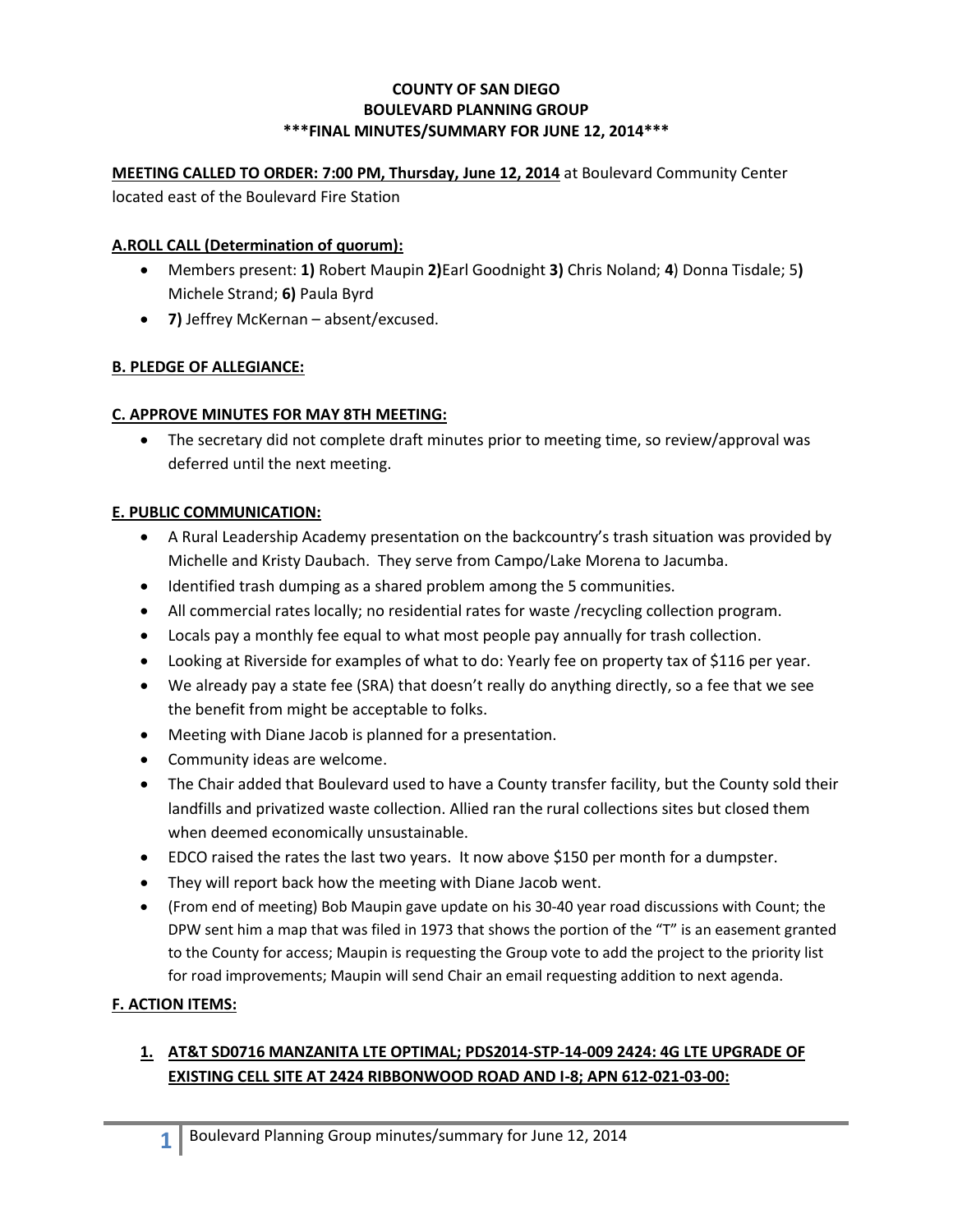#### **COUNTY OF SAN DIEGO BOULEVARD PLANNING GROUP \*\*\*FINAL MINUTES/SUMMARY FOR JUNE 12, 2014\*\*\***

## **MEETING CALLED TO ORDER: 7:00 PM, Thursday, June 12, 2014** at Boulevard Community Center

located east of the Boulevard Fire Station

#### **A.ROLL CALL (Determination of quorum):**

- Members present: **1)** Robert Maupin **2)**Earl Goodnight **3)** Chris Noland; **4**) Donna Tisdale; 5**)**  Michele Strand; **6)** Paula Byrd
- **7)** Jeffrey McKernan absent/excused.

### **B. PLEDGE OF ALLEGIANCE:**

## **C. APPROVE MINUTES FOR MAY 8TH MEETING:**

 The secretary did not complete draft minutes prior to meeting time, so review/approval was deferred until the next meeting.

### **E. PUBLIC COMMUNICATION:**

- A Rural Leadership Academy presentation on the backcountry's trash situation was provided by Michelle and Kristy Daubach. They serve from Campo/Lake Morena to Jacumba.
- Identified trash dumping as a shared problem among the 5 communities.
- All commercial rates locally; no residential rates for waste /recycling collection program.
- Locals pay a monthly fee equal to what most people pay annually for trash collection.
- Looking at Riverside for examples of what to do: Yearly fee on property tax of \$116 per year.
- We already pay a state fee (SRA) that doesn't really do anything directly, so a fee that we see the benefit from might be acceptable to folks.
- Meeting with Diane Jacob is planned for a presentation.
- Community ideas are welcome.
- The Chair added that Boulevard used to have a County transfer facility, but the County sold their landfills and privatized waste collection. Allied ran the rural collections sites but closed them when deemed economically unsustainable.
- EDCO raised the rates the last two years. It now above \$150 per month for a dumpster.
- They will report back how the meeting with Diane Jacob went.
- (From end of meeting) Bob Maupin gave update on his 30-40 year road discussions with Count; the DPW sent him a map that was filed in 1973 that shows the portion of the "T" is an easement granted to the County for access; Maupin is requesting the Group vote to add the project to the priority list for road improvements; Maupin will send Chair an email requesting addition to next agenda.

### **F. ACTION ITEMS:**

## **1. AT&T SD0716 MANZANITA LTE OPTIMAL; PDS2014-STP-14-009 2424: 4G LTE UPGRADE OF EXISTING CELL SITE AT 2424 RIBBONWOOD ROAD AND I-8; APN 612-021-03-00:**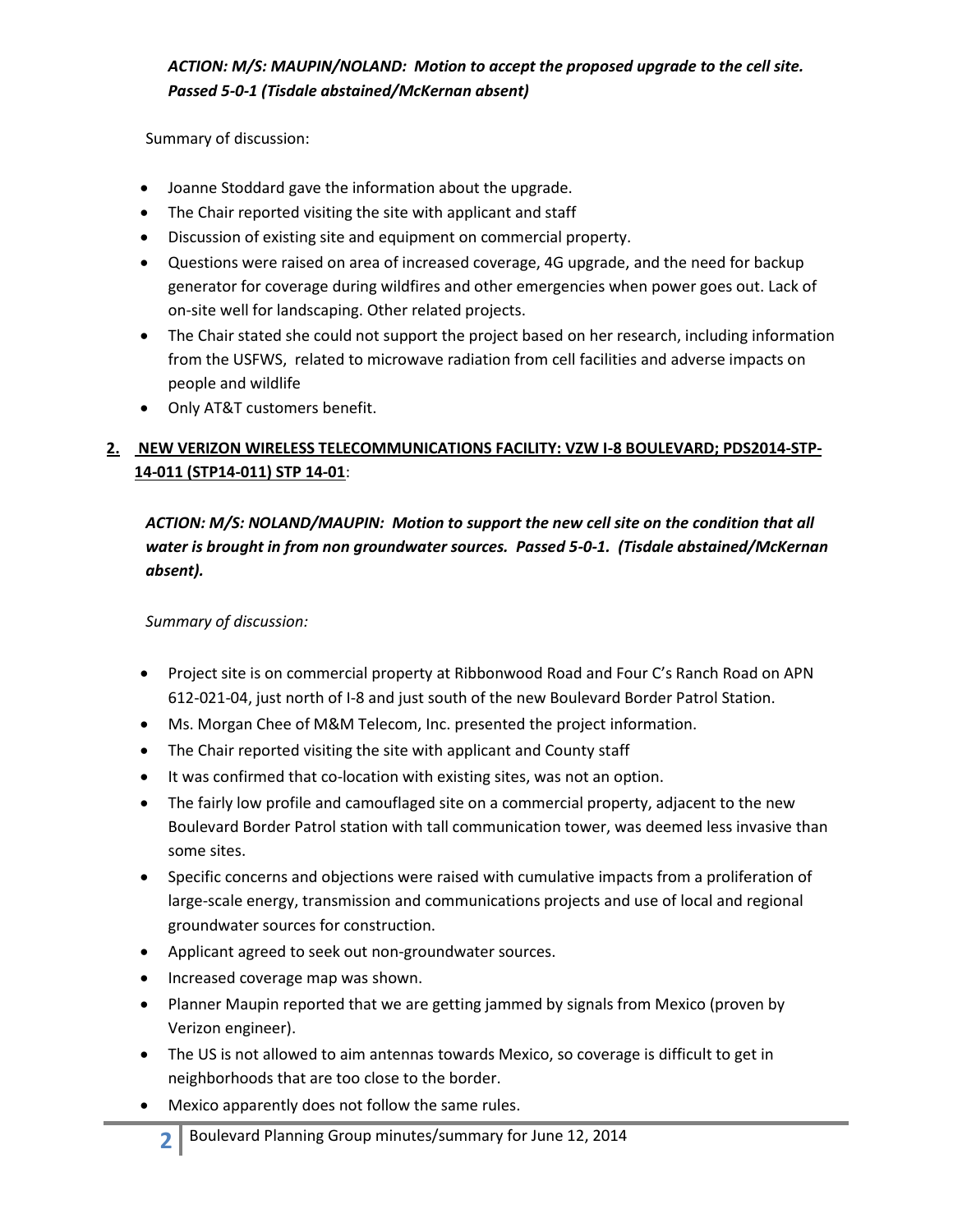Summary of discussion:

- Joanne Stoddard gave the information about the upgrade.
- The Chair reported visiting the site with applicant and staff
- Discussion of existing site and equipment on commercial property.
- Questions were raised on area of increased coverage, 4G upgrade, and the need for backup generator for coverage during wildfires and other emergencies when power goes out. Lack of on-site well for landscaping. Other related projects.
- The Chair stated she could not support the project based on her research, including information from the USFWS, related to microwave radiation from cell facilities and adverse impacts on people and wildlife
- Only AT&T customers benefit.

# **2. NEW VERIZON WIRELESS TELECOMMUNICATIONS FACILITY: VZW I-8 BOULEVARD; PDS2014-STP-14-011 (STP14-011) STP 14-01**:

*ACTION: M/S: NOLAND/MAUPIN: Motion to support the new cell site on the condition that all water is brought in from non groundwater sources. Passed 5-0-1. (Tisdale abstained/McKernan absent).* 

*Summary of discussion:*

- Project site is on commercial property at Ribbonwood Road and Four C's Ranch Road on APN 612-021-04, just north of I-8 and just south of the new Boulevard Border Patrol Station.
- Ms. Morgan Chee of M&M Telecom, Inc. presented the project information.
- The Chair reported visiting the site with applicant and County staff
- It was confirmed that co-location with existing sites, was not an option.
- The fairly low profile and camouflaged site on a commercial property, adjacent to the new Boulevard Border Patrol station with tall communication tower, was deemed less invasive than some sites.
- Specific concerns and objections were raised with cumulative impacts from a proliferation of large-scale energy, transmission and communications projects and use of local and regional groundwater sources for construction.
- Applicant agreed to seek out non-groundwater sources.
- Increased coverage map was shown.
- Planner Maupin reported that we are getting jammed by signals from Mexico (proven by Verizon engineer).
- The US is not allowed to aim antennas towards Mexico, so coverage is difficult to get in neighborhoods that are too close to the border.
- Mexico apparently does not follow the same rules.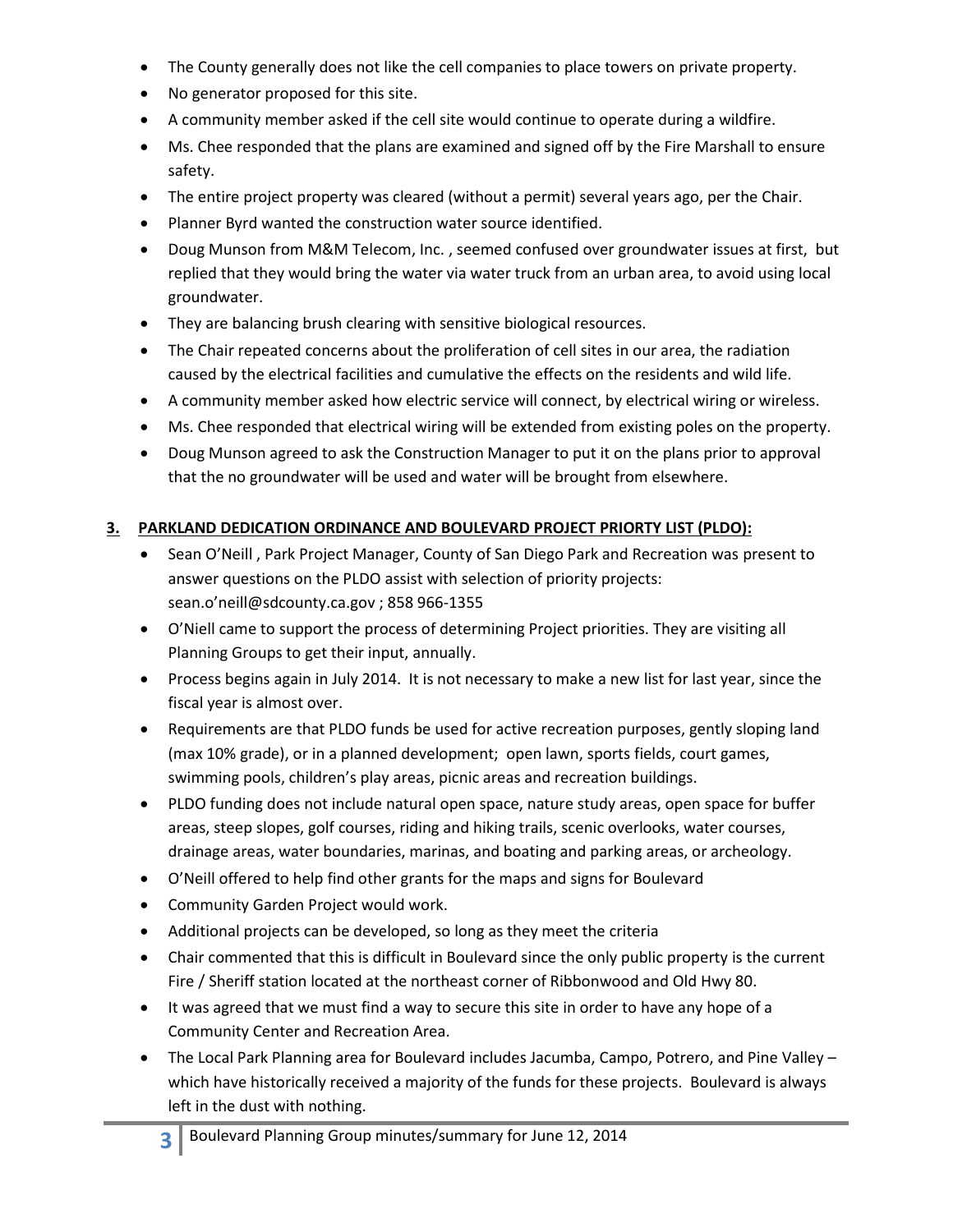- The County generally does not like the cell companies to place towers on private property.
- No generator proposed for this site.
- A community member asked if the cell site would continue to operate during a wildfire.
- Ms. Chee responded that the plans are examined and signed off by the Fire Marshall to ensure safety.
- The entire project property was cleared (without a permit) several years ago, per the Chair.
- Planner Byrd wanted the construction water source identified.
- Doug Munson from M&M Telecom, Inc. , seemed confused over groundwater issues at first, but replied that they would bring the water via water truck from an urban area, to avoid using local groundwater.
- They are balancing brush clearing with sensitive biological resources.
- The Chair repeated concerns about the proliferation of cell sites in our area, the radiation caused by the electrical facilities and cumulative the effects on the residents and wild life.
- A community member asked how electric service will connect, by electrical wiring or wireless.
- Ms. Chee responded that electrical wiring will be extended from existing poles on the property.
- Doug Munson agreed to ask the Construction Manager to put it on the plans prior to approval that the no groundwater will be used and water will be brought from elsewhere.

## **3. PARKLAND DEDICATION ORDINANCE AND BOULEVARD PROJECT PRIORTY LIST (PLDO):**

- Sean O'Neill, Park Project Manager, County of San Diego Park and Recreation was present to answer questions on the PLDO assist with selection of priority projects: sean.o'neill@sdcounty.ca.gov ; 858 966-1355
- O'Niell came to support the process of determining Project priorities. They are visiting all Planning Groups to get their input, annually.
- Process begins again in July 2014. It is not necessary to make a new list for last year, since the fiscal year is almost over.
- Requirements are that PLDO funds be used for active recreation purposes, gently sloping land (max 10% grade), or in a planned development; open lawn, sports fields, court games, swimming pools, children's play areas, picnic areas and recreation buildings.
- PLDO funding does not include natural open space, nature study areas, open space for buffer areas, steep slopes, golf courses, riding and hiking trails, scenic overlooks, water courses, drainage areas, water boundaries, marinas, and boating and parking areas, or archeology.
- O'Neill offered to help find other grants for the maps and signs for Boulevard
- Community Garden Project would work.
- Additional projects can be developed, so long as they meet the criteria
- Chair commented that this is difficult in Boulevard since the only public property is the current Fire / Sheriff station located at the northeast corner of Ribbonwood and Old Hwy 80.
- It was agreed that we must find a way to secure this site in order to have any hope of a Community Center and Recreation Area.
- The Local Park Planning area for Boulevard includes Jacumba, Campo, Potrero, and Pine Valley which have historically received a majority of the funds for these projects. Boulevard is always left in the dust with nothing.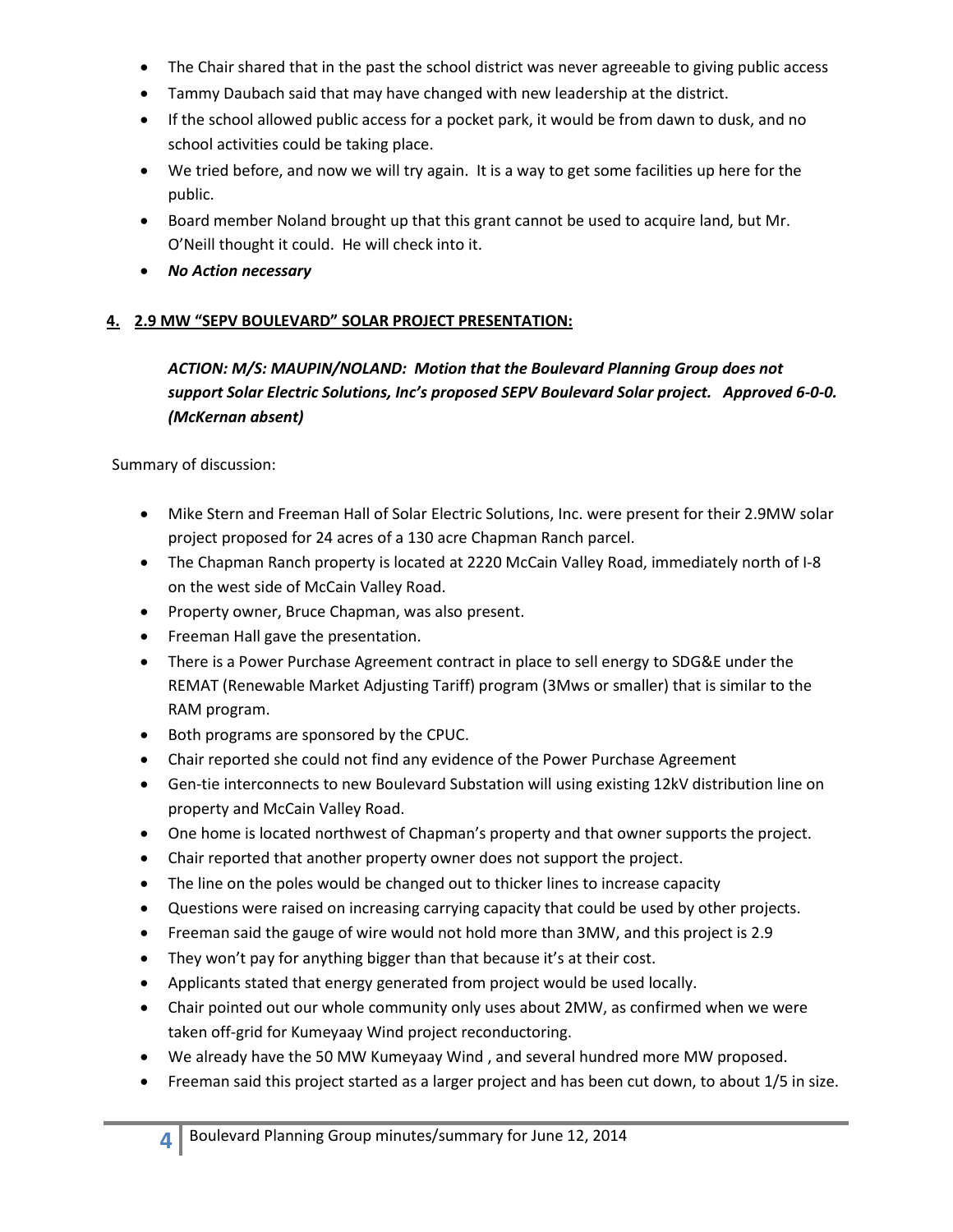- The Chair shared that in the past the school district was never agreeable to giving public access
- Tammy Daubach said that may have changed with new leadership at the district.
- If the school allowed public access for a pocket park, it would be from dawn to dusk, and no school activities could be taking place.
- We tried before, and now we will try again. It is a way to get some facilities up here for the public.
- Board member Noland brought up that this grant cannot be used to acquire land, but Mr. O'Neill thought it could. He will check into it.
- *No Action necessary*

### **4. 2.9 MW "SEPV BOULEVARD" SOLAR PROJECT PRESENTATION:**

## *ACTION: M/S: MAUPIN/NOLAND: Motion that the Boulevard Planning Group does not support Solar Electric Solutions, Inc's proposed SEPV Boulevard Solar project. Approved 6-0-0. (McKernan absent)*

Summary of discussion:

- Mike Stern and Freeman Hall of Solar Electric Solutions, Inc. were present for their 2.9MW solar project proposed for 24 acres of a 130 acre Chapman Ranch parcel.
- The Chapman Ranch property is located at 2220 McCain Valley Road, immediately north of I-8 on the west side of McCain Valley Road.
- Property owner, Bruce Chapman, was also present.
- Freeman Hall gave the presentation.
- There is a Power Purchase Agreement contract in place to sell energy to SDG&E under the REMAT (Renewable Market Adjusting Tariff) program (3Mws or smaller) that is similar to the RAM program.
- Both programs are sponsored by the CPUC.
- Chair reported she could not find any evidence of the Power Purchase Agreement
- Gen-tie interconnects to new Boulevard Substation will using existing 12kV distribution line on property and McCain Valley Road.
- One home is located northwest of Chapman's property and that owner supports the project.
- Chair reported that another property owner does not support the project.
- The line on the poles would be changed out to thicker lines to increase capacity
- Questions were raised on increasing carrying capacity that could be used by other projects.
- Freeman said the gauge of wire would not hold more than 3MW, and this project is 2.9
- They won't pay for anything bigger than that because it's at their cost.
- Applicants stated that energy generated from project would be used locally.
- Chair pointed out our whole community only uses about 2MW, as confirmed when we were taken off-grid for Kumeyaay Wind project reconductoring.
- We already have the 50 MW Kumeyaay Wind , and several hundred more MW proposed.
- Freeman said this project started as a larger project and has been cut down, to about 1/5 in size.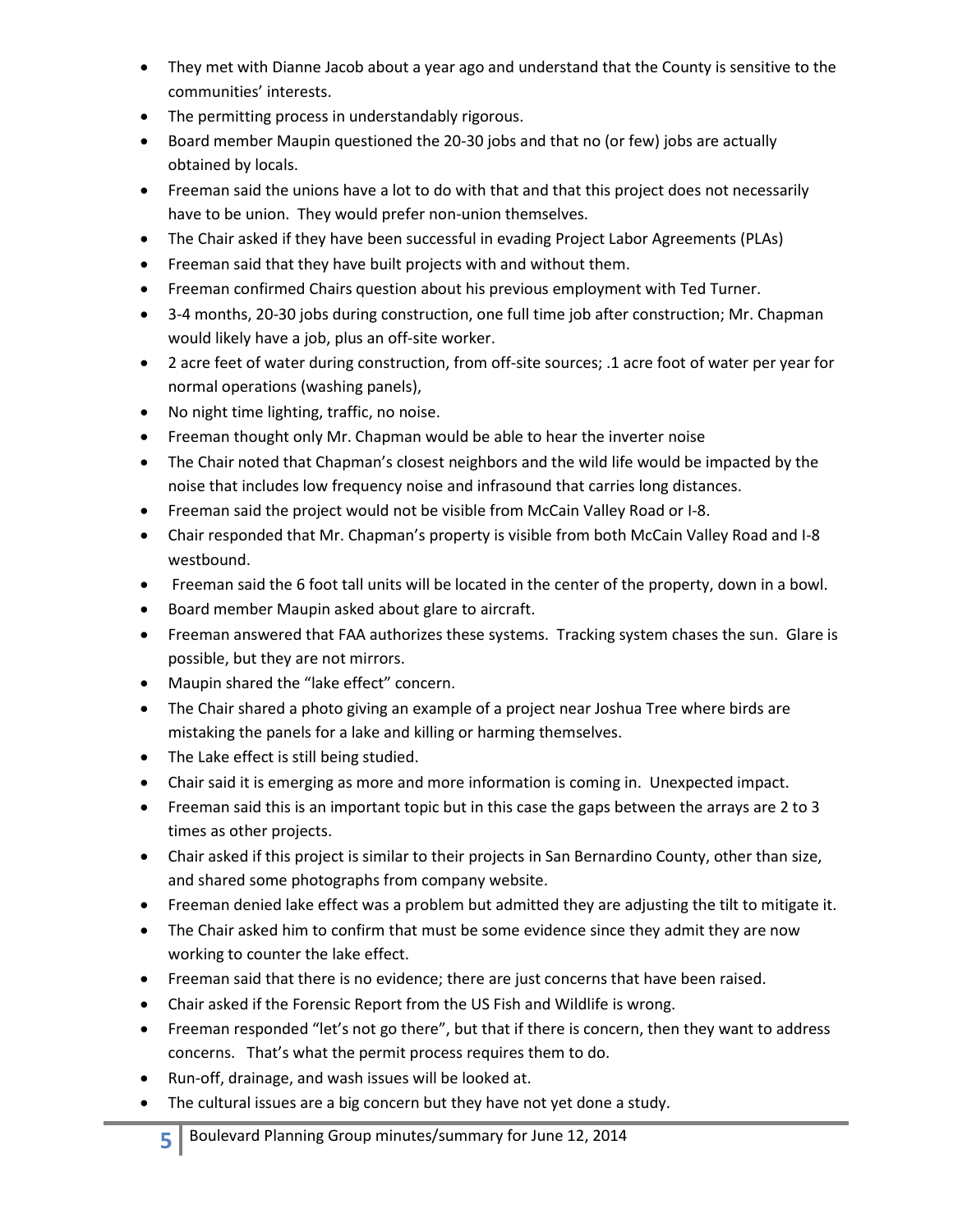- They met with Dianne Jacob about a year ago and understand that the County is sensitive to the communities' interests.
- The permitting process in understandably rigorous.
- Board member Maupin questioned the 20-30 jobs and that no (or few) jobs are actually obtained by locals.
- Freeman said the unions have a lot to do with that and that this project does not necessarily have to be union. They would prefer non-union themselves.
- The Chair asked if they have been successful in evading Project Labor Agreements (PLAs)
- Freeman said that they have built projects with and without them.
- Freeman confirmed Chairs question about his previous employment with Ted Turner.
- 3-4 months, 20-30 jobs during construction, one full time job after construction; Mr. Chapman would likely have a job, plus an off-site worker.
- 2 acre feet of water during construction, from off-site sources; .1 acre foot of water per year for normal operations (washing panels),
- No night time lighting, traffic, no noise.
- Freeman thought only Mr. Chapman would be able to hear the inverter noise
- The Chair noted that Chapman's closest neighbors and the wild life would be impacted by the noise that includes low frequency noise and infrasound that carries long distances.
- Freeman said the project would not be visible from McCain Valley Road or I-8.
- Chair responded that Mr. Chapman's property is visible from both McCain Valley Road and I-8 westbound.
- Freeman said the 6 foot tall units will be located in the center of the property, down in a bowl.
- Board member Maupin asked about glare to aircraft.
- Freeman answered that FAA authorizes these systems. Tracking system chases the sun. Glare is possible, but they are not mirrors.
- Maupin shared the "lake effect" concern.
- The Chair shared a photo giving an example of a project near Joshua Tree where birds are mistaking the panels for a lake and killing or harming themselves.
- The Lake effect is still being studied.
- Chair said it is emerging as more and more information is coming in. Unexpected impact.
- Freeman said this is an important topic but in this case the gaps between the arrays are 2 to 3 times as other projects.
- Chair asked if this project is similar to their projects in San Bernardino County, other than size, and shared some photographs from company website.
- Freeman denied lake effect was a problem but admitted they are adjusting the tilt to mitigate it.
- The Chair asked him to confirm that must be some evidence since they admit they are now working to counter the lake effect.
- Freeman said that there is no evidence; there are just concerns that have been raised.
- Chair asked if the Forensic Report from the US Fish and Wildlife is wrong.
- Freeman responded "let's not go there", but that if there is concern, then they want to address concerns. That's what the permit process requires them to do.
- Run-off, drainage, and wash issues will be looked at.
- The cultural issues are a big concern but they have not yet done a study.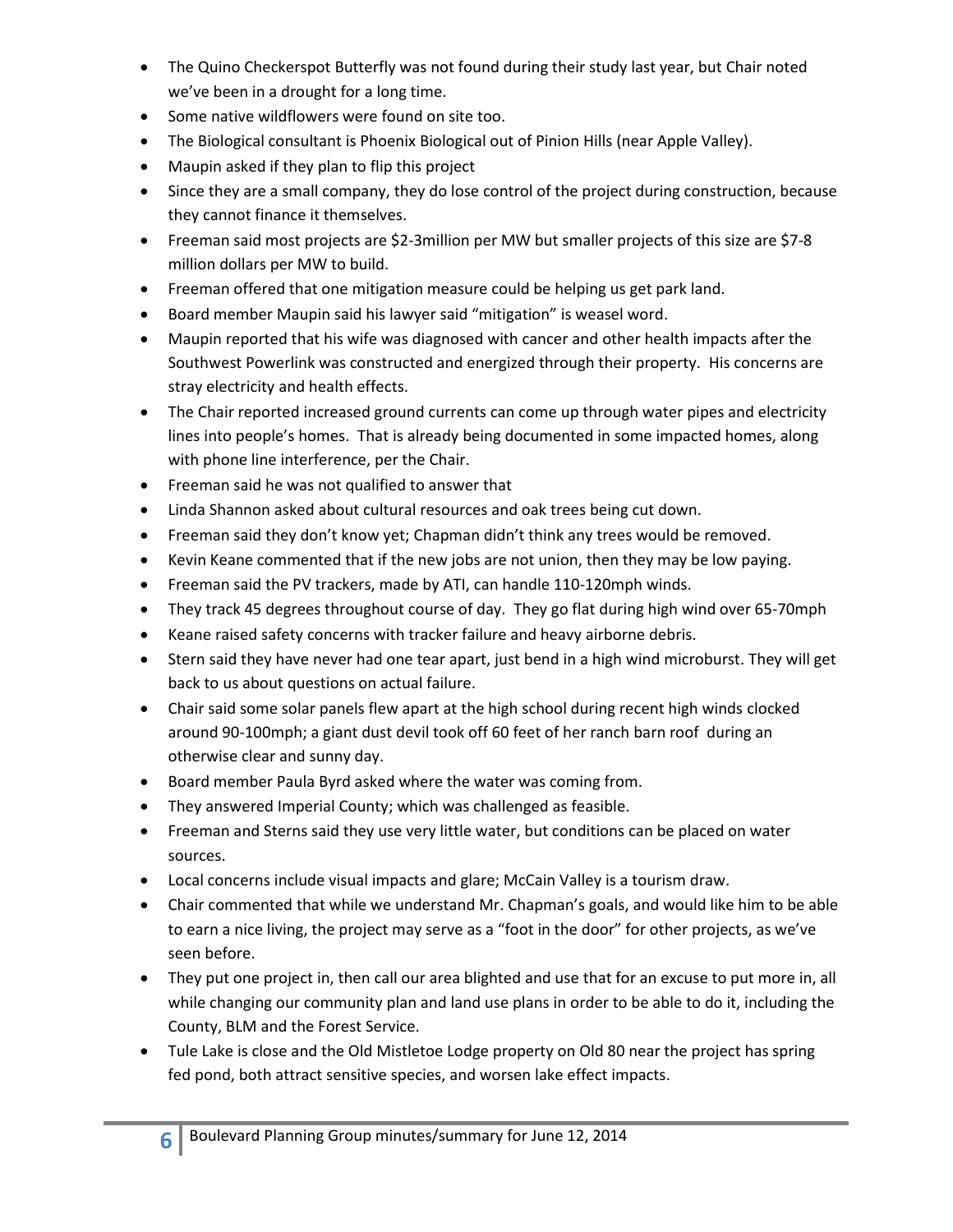- The Quino Checkerspot Butterfly was not found during their study last year, but Chair noted we've been in a drought for a long time.
- Some native wildflowers were found on site too.
- The Biological consultant is Phoenix Biological out of Pinion Hills (near Apple Valley).
- Maupin asked if they plan to flip this project
- Since they are a small company, they do lose control of the project during construction, because they cannot finance it themselves.
- Freeman said most projects are \$2-3million per MW but smaller projects of this size are \$7-8 million dollars per MW to build.
- Freeman offered that one mitigation measure could be helping us get park land.
- Board member Maupin said his lawyer said "mitigation" is weasel word.
- Maupin reported that his wife was diagnosed with cancer and other health impacts after the Southwest Powerlink was constructed and energized through their property. His concerns are stray electricity and health effects.
- The Chair reported increased ground currents can come up through water pipes and electricity lines into people's homes. That is already being documented in some impacted homes, along with phone line interference, per the Chair.
- **•** Freeman said he was not qualified to answer that
- Linda Shannon asked about cultural resources and oak trees being cut down.
- Freeman said they don't know yet; Chapman didn't think any trees would be removed.
- Kevin Keane commented that if the new jobs are not union, then they may be low paying.
- Freeman said the PV trackers, made by ATI, can handle 110-120mph winds.
- They track 45 degrees throughout course of day. They go flat during high wind over 65-70mph
- Keane raised safety concerns with tracker failure and heavy airborne debris.
- Stern said they have never had one tear apart, just bend in a high wind microburst. They will get back to us about questions on actual failure.
- Chair said some solar panels flew apart at the high school during recent high winds clocked around 90-100mph; a giant dust devil took off 60 feet of her ranch barn roof during an otherwise clear and sunny day.
- Board member Paula Byrd asked where the water was coming from.
- They answered Imperial County; which was challenged as feasible.
- Freeman and Sterns said they use very little water, but conditions can be placed on water sources.
- Local concerns include visual impacts and glare; McCain Valley is a tourism draw.
- Chair commented that while we understand Mr. Chapman's goals, and would like him to be able to earn a nice living, the project may serve as a "foot in the door" for other projects, as we've seen before.
- They put one project in, then call our area blighted and use that for an excuse to put more in, all while changing our community plan and land use plans in order to be able to do it, including the County, BLM and the Forest Service.
- Tule Lake is close and the Old Mistletoe Lodge property on Old 80 near the project has spring fed pond, both attract sensitive species, and worsen lake effect impacts.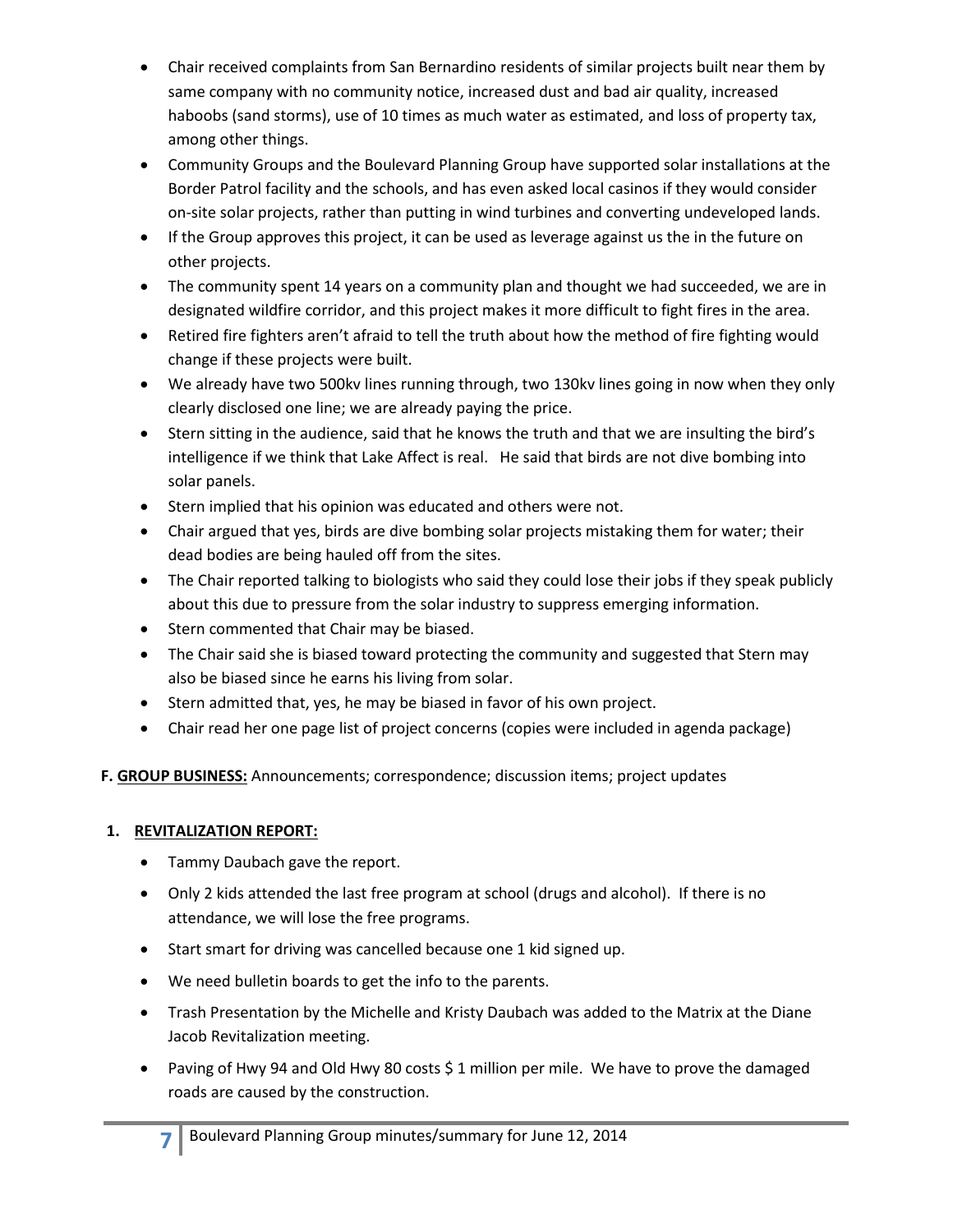- Chair received complaints from San Bernardino residents of similar projects built near them by same company with no community notice, increased dust and bad air quality, increased haboobs (sand storms), use of 10 times as much water as estimated, and loss of property tax, among other things.
- Community Groups and the Boulevard Planning Group have supported solar installations at the Border Patrol facility and the schools, and has even asked local casinos if they would consider on-site solar projects, rather than putting in wind turbines and converting undeveloped lands.
- If the Group approves this project, it can be used as leverage against us the in the future on other projects.
- The community spent 14 years on a community plan and thought we had succeeded, we are in designated wildfire corridor, and this project makes it more difficult to fight fires in the area.
- Retired fire fighters aren't afraid to tell the truth about how the method of fire fighting would change if these projects were built.
- We already have two 500kv lines running through, two 130kv lines going in now when they only clearly disclosed one line; we are already paying the price.
- Stern sitting in the audience, said that he knows the truth and that we are insulting the bird's intelligence if we think that Lake Affect is real. He said that birds are not dive bombing into solar panels.
- **Stern implied that his opinion was educated and others were not.**
- Chair argued that yes, birds are dive bombing solar projects mistaking them for water; their dead bodies are being hauled off from the sites.
- The Chair reported talking to biologists who said they could lose their jobs if they speak publicly about this due to pressure from the solar industry to suppress emerging information.
- Stern commented that Chair may be biased.
- The Chair said she is biased toward protecting the community and suggested that Stern may also be biased since he earns his living from solar.
- Stern admitted that, yes, he may be biased in favor of his own project.
- Chair read her one page list of project concerns (copies were included in agenda package)

**F. GROUP BUSINESS:** Announcements; correspondence; discussion items; project updates

### **1. REVITALIZATION REPORT:**

- Tammy Daubach gave the report.
- Only 2 kids attended the last free program at school (drugs and alcohol). If there is no attendance, we will lose the free programs.
- Start smart for driving was cancelled because one 1 kid signed up.
- We need bulletin boards to get the info to the parents.
- Trash Presentation by the Michelle and Kristy Daubach was added to the Matrix at the Diane Jacob Revitalization meeting.
- Paving of Hwy 94 and Old Hwy 80 costs \$1 million per mile. We have to prove the damaged roads are caused by the construction.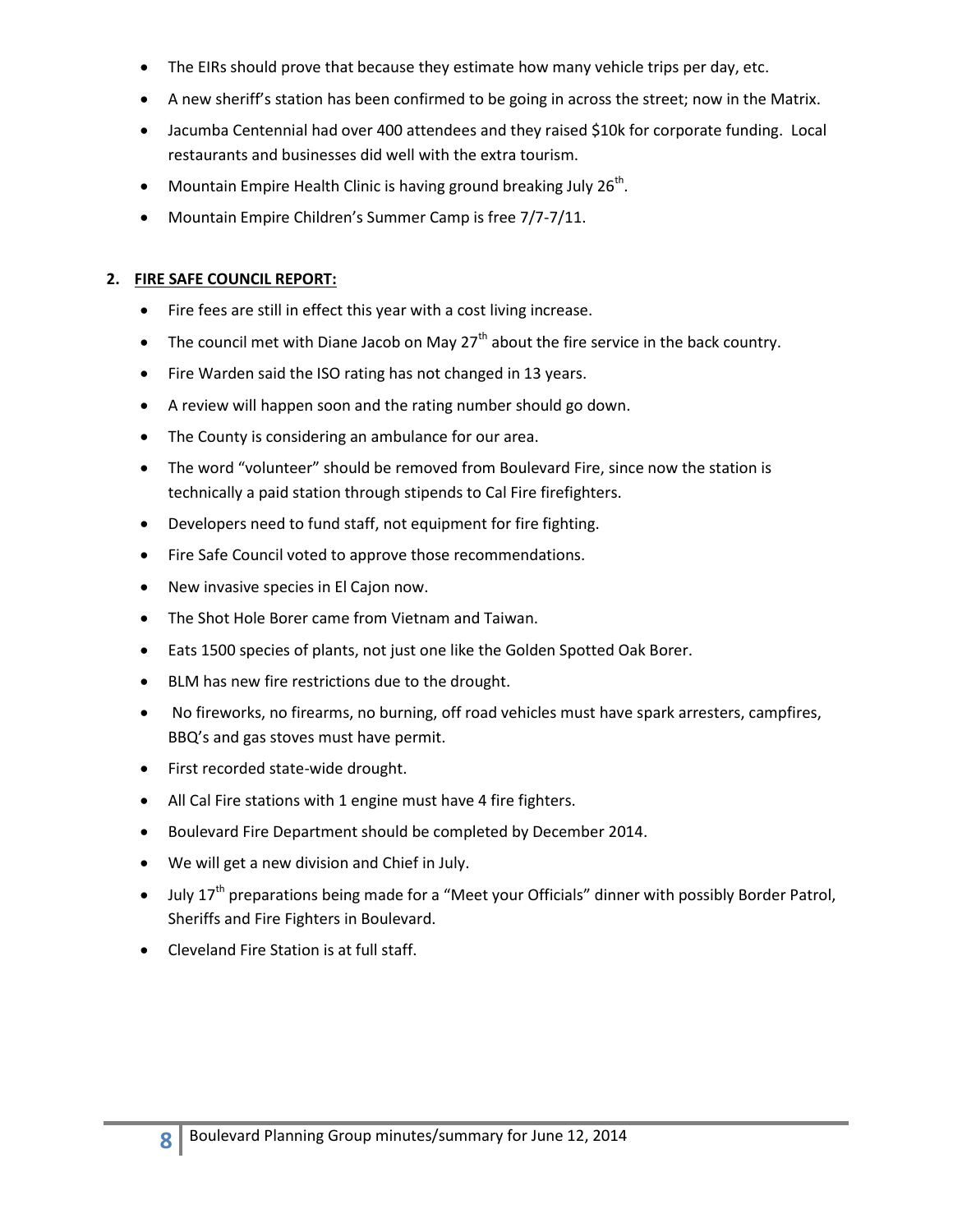- The EIRs should prove that because they estimate how many vehicle trips per day, etc.
- A new sheriff's station has been confirmed to be going in across the street; now in the Matrix.
- Jacumba Centennial had over 400 attendees and they raised \$10k for corporate funding. Local restaurants and businesses did well with the extra tourism.
- Mountain Empire Health Clinic is having ground breaking July  $26^{th}$ .
- Mountain Empire Children's Summer Camp is free 7/7-7/11.

#### **2. FIRE SAFE COUNCIL REPORT:**

- Fire fees are still in effect this year with a cost living increase.
- The council met with Diane Jacob on May 27<sup>th</sup> about the fire service in the back country.
- Fire Warden said the ISO rating has not changed in 13 years.
- A review will happen soon and the rating number should go down.
- The County is considering an ambulance for our area.
- The word "volunteer" should be removed from Boulevard Fire, since now the station is technically a paid station through stipends to Cal Fire firefighters.
- Developers need to fund staff, not equipment for fire fighting.
- Fire Safe Council voted to approve those recommendations.
- New invasive species in El Cajon now.
- The Shot Hole Borer came from Vietnam and Taiwan.
- Eats 1500 species of plants, not just one like the Golden Spotted Oak Borer.
- BLM has new fire restrictions due to the drought.
- No fireworks, no firearms, no burning, off road vehicles must have spark arresters, campfires, BBQ's and gas stoves must have permit.
- First recorded state-wide drought.
- All Cal Fire stations with 1 engine must have 4 fire fighters.
- Boulevard Fire Department should be completed by December 2014.
- We will get a new division and Chief in July.
- $\bullet$  July 17<sup>th</sup> preparations being made for a "Meet your Officials" dinner with possibly Border Patrol, Sheriffs and Fire Fighters in Boulevard.
- Cleveland Fire Station is at full staff.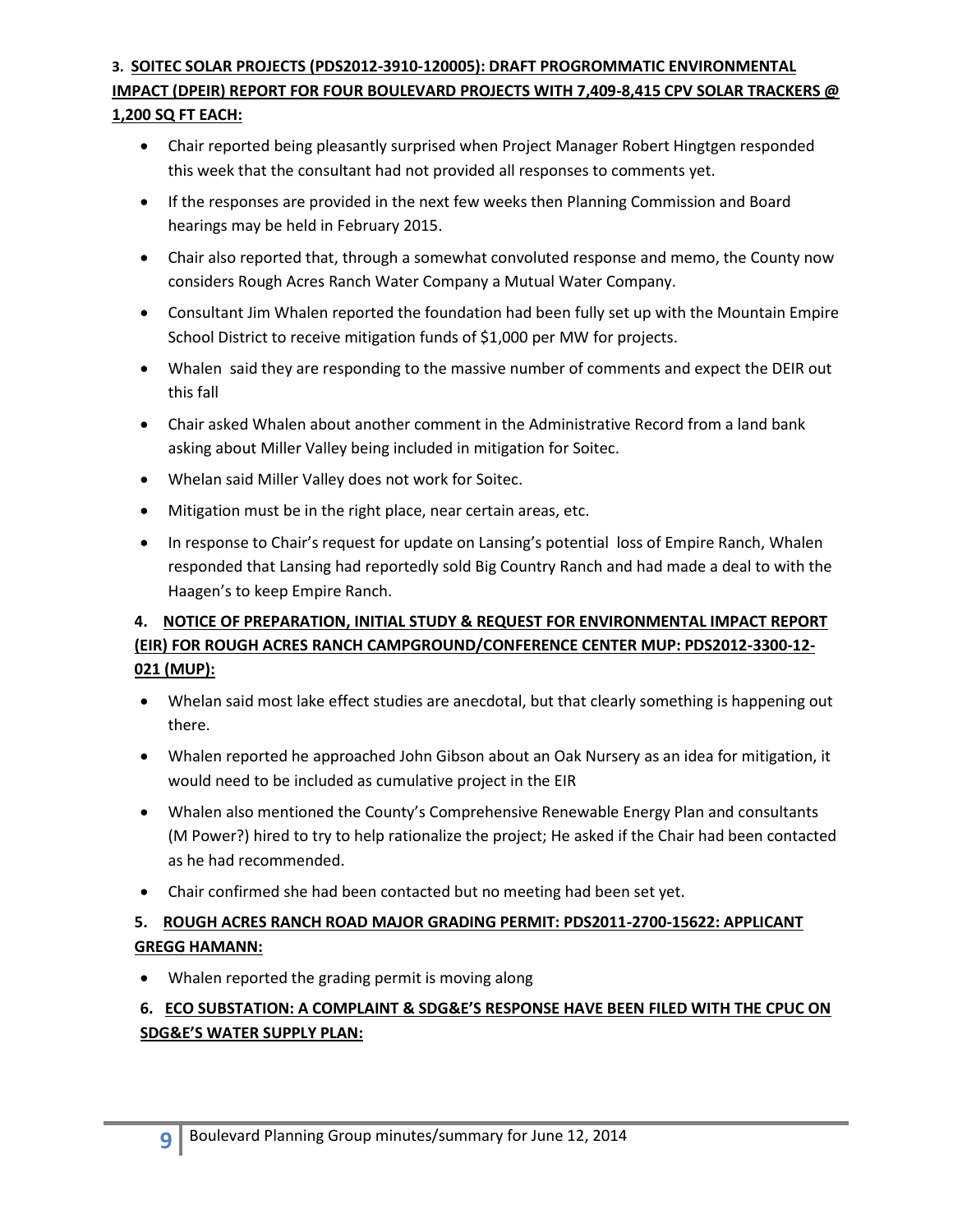## **3. SOITEC SOLAR PROJECTS (PDS2012-3910-120005): DRAFT PROGROMMATIC ENVIRONMENTAL IMPACT (DPEIR) REPORT FOR FOUR BOULEVARD PROJECTS WITH 7,409-8,415 CPV SOLAR TRACKERS @ 1,200 SQ FT EACH:**

- Chair reported being pleasantly surprised when Project Manager Robert Hingtgen responded this week that the consultant had not provided all responses to comments yet.
- If the responses are provided in the next few weeks then Planning Commission and Board hearings may be held in February 2015.
- Chair also reported that, through a somewhat convoluted response and memo, the County now considers Rough Acres Ranch Water Company a Mutual Water Company.
- Consultant Jim Whalen reported the foundation had been fully set up with the Mountain Empire School District to receive mitigation funds of \$1,000 per MW for projects.
- Whalen said they are responding to the massive number of comments and expect the DEIR out this fall
- Chair asked Whalen about another comment in the Administrative Record from a land bank asking about Miller Valley being included in mitigation for Soitec.
- Whelan said Miller Valley does not work for Soitec.
- Mitigation must be in the right place, near certain areas, etc.
- In response to Chair's request for update on Lansing's potential loss of Empire Ranch, Whalen responded that Lansing had reportedly sold Big Country Ranch and had made a deal to with the Haagen's to keep Empire Ranch.

# **4. NOTICE OF PREPARATION, INITIAL STUDY & REQUEST FOR ENVIRONMENTAL IMPACT REPORT (EIR) FOR ROUGH ACRES RANCH CAMPGROUND/CONFERENCE CENTER MUP: PDS2012-3300-12- 021 (MUP):**

- Whelan said most lake effect studies are anecdotal, but that clearly something is happening out there.
- Whalen reported he approached John Gibson about an Oak Nursery as an idea for mitigation, it would need to be included as cumulative project in the EIR
- Whalen also mentioned the County's Comprehensive Renewable Energy Plan and consultants (M Power?) hired to try to help rationalize the project; He asked if the Chair had been contacted as he had recommended.
- Chair confirmed she had been contacted but no meeting had been set yet.

# **5. ROUGH ACRES RANCH ROAD MAJOR GRADING PERMIT: PDS2011-2700-15622: APPLICANT GREGG HAMANN:**

Whalen reported the grading permit is moving along

# **6. ECO SUBSTATION: A COMPLAINT & SDG&E'S RESPONSE HAVE BEEN FILED WITH THE CPUC ON SDG&E'S WATER SUPPLY PLAN:**